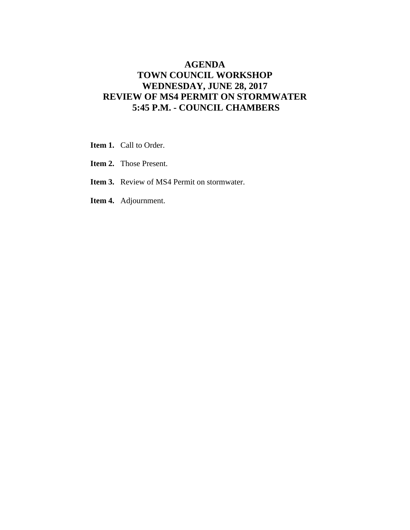## **AGENDA TOWN COUNCIL WORKSHOP WEDNESDAY, JUNE 28, 2017 REVIEW OF MS4 PERMIT ON STORMWATER 5:45 P.M. - COUNCIL CHAMBERS**

- **Item 1.** Call to Order.
- **Item 2.** Those Present.
- **Item 3.** Review of MS4 Permit on stormwater.
- **Item 4.** Adjournment.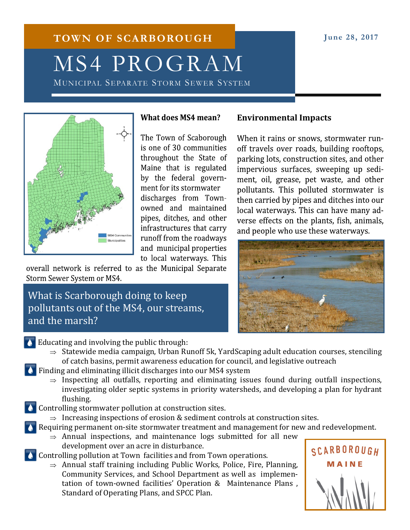# **TOWN OF SCARBOROUGH June 28, 2017** MS4 PROGRAM

MUNICIPAL SEPARATE STORM SEWER SYSTEM



### **What does MS4 mean?**

The Town of Scaborough is one of 30 communities throughout the State of Maine that is regulated by the federal government for its stormwater discharges from Townowned and maintained pipes, ditches, and other infrastructures that carry runoff from the roadways and municipal properties to local waterways. This

overall network is referred to as the Municipal Separate Storm Sewer System or MS4.

# What is Scarborough doing to keep pollutants out of the MS4, our streams, and the marsh?

## **Environmental Impacts**

When it rains or snows, stormwater runoff travels over roads, building rooftops, parking lots, construction sites, and other impervious surfaces, sweeping up sediment, oil, grease, pet waste, and other pollutants. This polluted stormwater is then carried by pipes and ditches into our local waterways. This can have many adverse effects on the plants, fish, animals, and people who use these waterways.



### Educating and involving the public through:

- $\Rightarrow$  Statewide media campaign, Urban Runoff 5k, YardScaping adult education courses, stenciling of catch basins, permit awareness education for council, and legislative outreach
- Finding and eliminating illicit discharges into our MS4 system
	- $\Rightarrow$  Inspecting all outfalls, reporting and eliminating issues found during outfall inspections, investigating older septic systems in priority watersheds, and developing a plan for hydrant flushing.
- $\triangle$  Controlling stormwater pollution at construction sites.
	- $\Rightarrow$  Increasing inspections of erosion & sediment controls at construction sites.
- Requiring permanent on-site stormwater treatment and management for new and redevelopment.
	- $\Rightarrow$  Annual inspections, and maintenance logs submitted for all new development over an acre in disturbance.
- **Controlling pollution at Town facilities and from Town operations.** 
	- $\Rightarrow$  Annual staff training including Public Works, Police, Fire, Planning, Community Services, and School Department as well as implementation of town-owned facilities' Operation & Maintenance Plans , Standard of Operating Plans, and SPCC Plan.